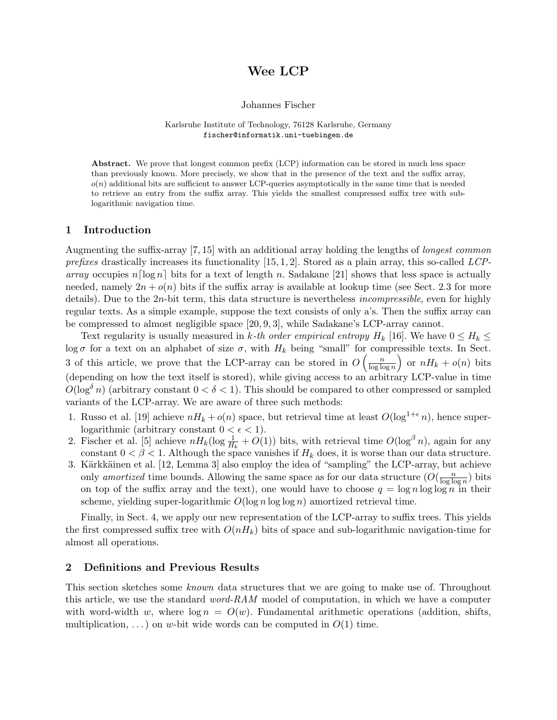# Wee LCP

#### Johannes Fischer

#### Karlsruhe Institute of Technology, 76128 Karlsruhe, Germany fischer@informatik.uni-tuebingen.de

Abstract. We prove that longest common prefix (LCP) information can be stored in much less space than previously known. More precisely, we show that in the presence of the text and the suffix array,  $o(n)$  additional bits are sufficient to answer LCP-queries asymptotically in the same time that is needed to retrieve an entry from the suffix array. This yields the smallest compressed suffix tree with sublogarithmic navigation time.

# 1 Introduction

Augmenting the suffix-array [7, 15] with an additional array holding the lengths of longest common prefixes drastically increases its functionality  $[15, 1, 2]$ . Stored as a plain array, this so-called LCParray occupies  $n\lceil \log n \rceil$  bits for a text of length n. Sadakane [21] shows that less space is actually needed, namely  $2n + o(n)$  bits if the suffix array is available at lookup time (see Sect. 2.3 for more details). Due to the 2n-bit term, this data structure is nevertheless *incompressible*, even for highly regular texts. As a simple example, suppose the text consists of only a's. Then the suffix array can be compressed to almost negligible space [20, 9, 3], while Sadakane's LCP-array cannot.

Text regularity is usually measured in k-th order empirical entropy  $H_k$  [16]. We have  $0 \le H_k \le$ log  $\sigma$  for a text on an alphabet of size  $\sigma$ , with  $H_k$  being "small" for compressible texts. In Sect. 3 of this article, we prove that the LCP-array can be stored in  $O\left(\frac{n}{\log k}\right)$  $\frac{n}{\log \log n}$  or  $nH_k + o(n)$  bits (depending on how the text itself is stored), while giving access to an arbitrary LCP-value in time  $O(\log^{\delta} n)$  (arbitrary constant  $0 < \delta < 1$ ). This should be compared to other compressed or sampled variants of the LCP-array. We are aware of three such methods:

- 1. Russo et al. [19] achieve  $nH_k + o(n)$  space, but retrieval time at least  $O(\log^{1+\epsilon} n)$ , hence superlogarithmic (arbitrary constant  $0 < \epsilon < 1$ ).
- 2. Fischer et al. [5] achieve  $nH_k(\log \frac{1}{H_k} + O(1))$  bits, with retrieval time  $O(\log^\beta n)$ , again for any constant  $0 < \beta < 1$ . Although the space vanishes if  $H_k$  does, it is worse than our data structure.
- 3. Kärkkäinen et al. [12, Lemma 3] also employ the idea of "sampling" the LCP-array, but achieve only amortized time bounds. Allowing the same space as for our data structure  $(O(\frac{n}{\log \log n}))$  $\frac{n}{\log \log n}$ ) bits on top of the suffix array and the text), one would have to choose  $q = \log n \log \log n$  in their scheme, yielding super-logarithmic  $O(\log n \log \log n)$  amortized retrieval time.

Finally, in Sect. 4, we apply our new representation of the LCP-array to suffix trees. This yields the first compressed suffix tree with  $O(nH_k)$  bits of space and sub-logarithmic navigation-time for almost all operations.

# 2 Definitions and Previous Results

This section sketches some known data structures that we are going to make use of. Throughout this article, we use the standard *word-RAM* model of computation, in which we have a computer with word-width w, where  $\log n = O(w)$ . Fundamental arithmetic operations (addition, shifts, multiplication, ...) on w-bit wide words can be computed in  $O(1)$  time.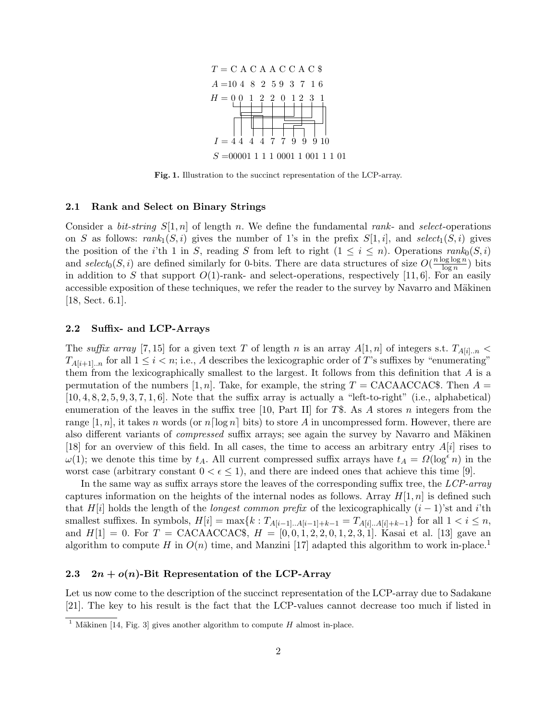

Fig. 1. Illustration to the succinct representation of the LCP-array.

#### 2.1 Rank and Select on Binary Strings

Consider a *bit-string*  $S[1, n]$  of length n. We define the fundamental rank- and select-operations on S as follows:  $rank_1(S, i)$  gives the number of 1's in the prefix  $S[1, i]$ , and select<sub>1</sub> $(S, i)$  gives the position of the i'th 1 in S, reading S from left to right  $(1 \leq i \leq n)$ . Operations rank<sub>0</sub> $(S, i)$ and select<sub>0</sub> $(S, i)$  are defined similarly for 0-bits. There are data structures of size  $O(\frac{n \log \log n}{\log n})$  $\frac{\log \log n}{\log n}$ ) bits in addition to S that support  $O(1)$ -rank- and select-operations, respectively [11, 6]. For an easily accessible exposition of these techniques, we refer the reader to the survey by Navarro and Mäkinen [18, Sect. 6.1].

## 2.2 Suffix- and LCP-Arrays

The suffix array [7, 15] for a given text T of length n is an array  $A[1,n]$  of integers s.t.  $T_{A[i]..n}$  <  $T_{A[i+1]...n}$  for all  $1 \leq i < n$ ; i.e., A describes the lexicographic order of T's suffixes by "enumerating" them from the lexicographically smallest to the largest. It follows from this definition that  $A$  is a permutation of the numbers [1, n]. Take, for example, the string  $T = \text{CACAACCAC$}$ . Then  $A =$  $[10, 4, 8, 2, 5, 9, 3, 7, 1, 6]$ . Note that the suffix array is actually a "left-to-right" (i.e., alphabetical) enumeration of the leaves in the suffix tree [10, Part II] for T\$. As A stores n integers from the range [1, n], it takes n words (or  $n\lceil \log n \rceil$  bits) to store A in uncompressed form. However, there are also different variants of *compressed* suffix arrays; see again the survey by Navarro and Mäkinen [18] for an overview of this field. In all cases, the time to access an arbitrary entry  $A[i]$  rises to  $\omega(1)$ ; we denote this time by  $t_A$ . All current compressed suffix arrays have  $t_A = \Omega(\log^{\epsilon} n)$  in the worst case (arbitrary constant  $0 < \epsilon \leq 1$ ), and there are indeed ones that achieve this time [9].

In the same way as suffix arrays store the leaves of the corresponding suffix tree, the LCP-array captures information on the heights of the internal nodes as follows. Array  $H[1, n]$  is defined such that H[i] holds the length of the *longest common prefix* of the lexicographically  $(i - 1)$ 'st and i'th smallest suffixes. In symbols,  $H[i] = \max\{k : T_{A[i-1]...A[i-1]+k-1} = T_{A[i]...A[i]+k-1}\}$  for all  $1 < i \leq n$ , and  $H[1] = 0$ . For  $T = \text{CACAACCAC\$}$ ,  $H = [0, 0, 1, 2, 2, 0, 1, 2, 3, 1]$ . Kasai et al. [13] gave an algorithm to compute H in  $O(n)$  time, and Manzini [17] adapted this algorithm to work in-place.<sup>1</sup>

#### 2.3  $2n + o(n)$ -Bit Representation of the LCP-Array

Let us now come to the description of the succinct representation of the LCP-array due to Sadakane [21]. The key to his result is the fact that the LCP-values cannot decrease too much if listed in

<sup>&</sup>lt;sup>1</sup> Mäkinen [14, Fig. 3] gives another algorithm to compute H almost in-place.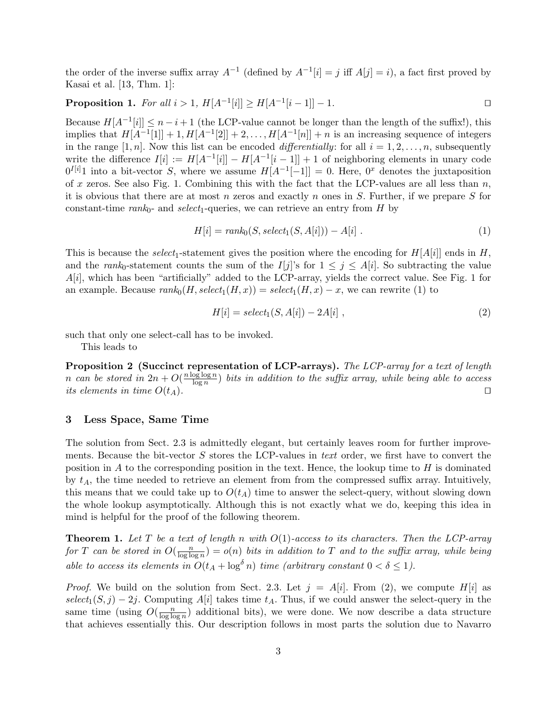the order of the inverse suffix array  $A^{-1}$  (defined by  $A^{-1}[i] = j$  iff  $A[j] = i$ ), a fact first proved by Kasai et al. [13, Thm. 1]:

**Proposition 1.** For all 
$$
i > 1
$$
,  $H[A^{-1}[i]] \ge H[A^{-1}[i-1]] - 1$ .

Because  $H[A^{-1}[i]] \leq n-i+1$  (the LCP-value cannot be longer than the length of the suffix!), this implies that  $H[A^{-1}[1]] + 1, H[A^{-1}[2]] + 2, \ldots, H[A^{-1}[n]] + n$  is an increasing sequence of integers in the range [1, n]. Now this list can be encoded differentially: for all  $i = 1, 2, \ldots, n$ , subsequently write the difference  $I[i] := H[A^{-1}[i]] - H[A^{-1}[i-1]] + 1$  of neighboring elements in unary code  $0^{I[i]}$ 1 into a bit-vector S, where we assume  $H[A^{-1}[-1]] = 0$ . Here,  $0^x$  denotes the juxtaposition of x zeros. See also Fig. 1. Combining this with the fact that the LCP-values are all less than  $n$ , it is obvious that there are at most n zeros and exactly n ones in  $S$ . Further, if we prepare  $S$  for constant-time rank<sub>0</sub>- and select<sub>1</sub>-queries, we can retrieve an entry from  $H$  by

$$
H[i] = rank_0(S, select_1(S, A[i])) - A[i].
$$
\n(1)

This is because the select<sub>1</sub>-statement gives the position where the encoding for  $H[A[i]]$  ends in H, and the rank<sub>0</sub>-statement counts the sum of the I[j]'s for  $1 \leq j \leq A[i]$ . So subtracting the value  $A[i]$ , which has been "artificially" added to the LCP-array, yields the correct value. See Fig. 1 for an example. Because  $rank_0(H, select_1(H, x)) = select_1(H, x) - x$ , we can rewrite (1) to

$$
H[i] = select1(S, A[i]) - 2A[i], \qquad (2)
$$

such that only one select-call has to be invoked.

This leads to

Proposition 2 (Succinct representation of LCP-arrays). The LCP-array for a text of length n can be stored in  $2n + O(\frac{n \log \log n}{\log n})$  $\frac{\log \log n}{\log n}$ ) bits in addition to the suffix array, while being able to access its elements in time  $O(t_A)$ .

# 3 Less Space, Same Time

The solution from Sect. 2.3 is admittedly elegant, but certainly leaves room for further improvements. Because the bit-vector  $S$  stores the LCP-values in text order, we first have to convert the position in A to the corresponding position in the text. Hence, the lookup time to  $H$  is dominated by  $t_A$ , the time needed to retrieve an element from from the compressed suffix array. Intuitively, this means that we could take up to  $O(t_A)$  time to answer the select-query, without slowing down the whole lookup asymptotically. Although this is not exactly what we do, keeping this idea in mind is helpful for the proof of the following theorem.

**Theorem 1.** Let T be a text of length n with  $O(1)$ -access to its characters. Then the LCP-array for T can be stored in  $O(\frac{n}{\log \log n})$  $\frac{n}{\log \log n}) = o(n)$  bits in addition to T and to the suffix array, while being able to access its elements in  $O(t_A + \log^\delta n)$  time (arbitrary constant  $0 < \delta \leq 1$ ).

*Proof.* We build on the solution from Sect. 2.3. Let  $j = A[i]$ . From (2), we compute H[i] as  $select_1(S, j) - 2j$ . Computing A[i] takes time  $t_A$ . Thus, if we could answer the select-query in the same time (using  $O(\frac{n}{\log \log n})$  $\frac{n}{\log \log n}$  additional bits), we were done. We now describe a data structure that achieves essentially this. Our description follows in most parts the solution due to Navarro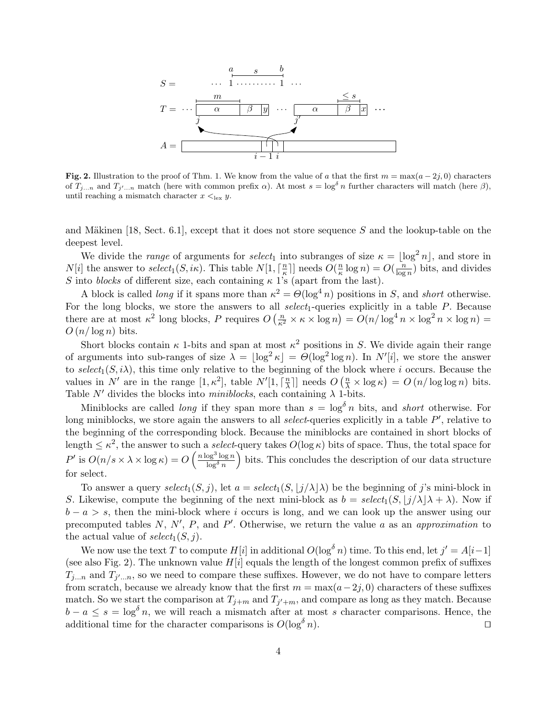

Fig. 2. Illustration to the proof of Thm. 1. We know from the value of a that the first  $m = \max(a-2j, 0)$  characters of  $T_{j...n}$  and  $T_{j'...n}$  match (here with common prefix  $\alpha$ ). At most  $s = \log^\delta n$  further characters will match (here  $\beta$ ), until reaching a mismatch character  $x \leq_{\text{lex}} y$ .

and Mäkinen [18, Sect. 6.1], except that it does not store sequence S and the lookup-table on the deepest level.

We divide the *range* of arguments for *select*<sub>1</sub> into subranges of size  $\kappa = |\log^2 n|$ , and store in  $N[i]$  the answer to  $select_1(S, i\kappa)$ . This table  $N[1, \lceil \frac{n}{\kappa} \rceil]$  $\frac{n}{\kappa}$ ]] needs  $O(\frac{n}{\kappa})$  $\frac{n}{\kappa} \log n$ ) =  $O(\frac{n}{\log n})$  $\frac{n}{\log n}$ ) bits, and divides S into blocks of different size, each containing  $\kappa$  1's (apart from the last).

A block is called *long* if it spans more than  $\kappa^2 = \Theta(\log^4 n)$  positions in S, and *short* otherwise. For the long blocks, we store the answers to all  $select_1$ -queries explicitly in a table  $P$ . Because there are at most  $\kappa^2$  long blocks, P requires  $O\left(\frac{n}{\kappa^2} \times \kappa \times \log n\right) = O(n/\log^4 n \times \log^2 n \times \log n)$  $O(n/\log n)$  bits.

Short blocks contain  $\kappa$  1-bits and span at most  $\kappa^2$  positions in S. We divide again their range of arguments into sub-ranges of size  $\lambda = \lfloor \log^2 \kappa \rfloor = \Theta(\log^2 \log n)$ . In  $N'[i]$ , we store the answer to select<sub>1</sub>(S, i), this time only relative to the beginning of the block where i occurs. Because the values in  $N'$  are in the range  $[1, \kappa^2]$ , table  $N'[1, \lceil \frac{n}{\lambda} \rceil]$  $\frac{n}{\lambda}$ ] needs  $O\left(\frac{n}{\lambda} \times \log \kappa\right) = O\left(n / \log \log n\right)$  bits. Table  $N'$  divides the blocks into miniblocks, each containing  $\lambda$  1-bits.

Miniblocks are called *long* if they span more than  $s = \log^{\delta} n$  bits, and *short* otherwise. For long miniblocks, we store again the answers to all *select*-queries explicitly in a table  $P'$ , relative to the beginning of the corresponding block. Because the miniblocks are contained in short blocks of length  $\leq \kappa^2$ , the answer to such a *select*-query takes  $O(\log \kappa)$  bits of space. Thus, the total space for  $P'$  is  $O(n/s \times \lambda \times \log \kappa) = O\left(\frac{n \log^3 \log n}{\log^\delta n}\right)$  $\log^\delta n$  bits. This concludes the description of our data structure for select.

To answer a query  $select_1(S, j)$ , let  $a = select_1(S, \lfloor j/\lambda \rfloor \lambda)$  be the beginning of j's mini-block in S. Likewise, compute the beginning of the next mini-block as  $b = select_1(S, |j/\lambda| \lambda + \lambda)$ . Now if  $b - a > s$ , then the mini-block where i occurs is long, and we can look up the answer using our precomputed tables  $N, N', P$ , and  $P'$ . Otherwise, we return the value a as an approximation to the actual value of  $select_1(S, j)$ .

We now use the text T to compute  $H[i]$  in additional  $O(\log^{\delta} n)$  time. To this end, let  $j' = A[i-1]$ (see also Fig. 2). The unknown value  $H[i]$  equals the length of the longest common prefix of suffixes  $T_{j...n}$  and  $T_{j'...n}$ , so we need to compare these suffixes. However, we do not have to compare letters from scratch, because we already know that the first  $m = \max(a-2j, 0)$  characters of these suffixes match. So we start the comparison at  $T_{j+m}$  and  $T_{j'+m}$ , and compare as long as they match. Because  $b - a \leq s = \log^{\delta} n$ , we will reach a mismatch after at most s character comparisons. Hence, the additional time for the character comparisons is  $O(\log^{\delta} n)$ . additional time for the character comparisons is  $O(\log^{\delta} n)$ .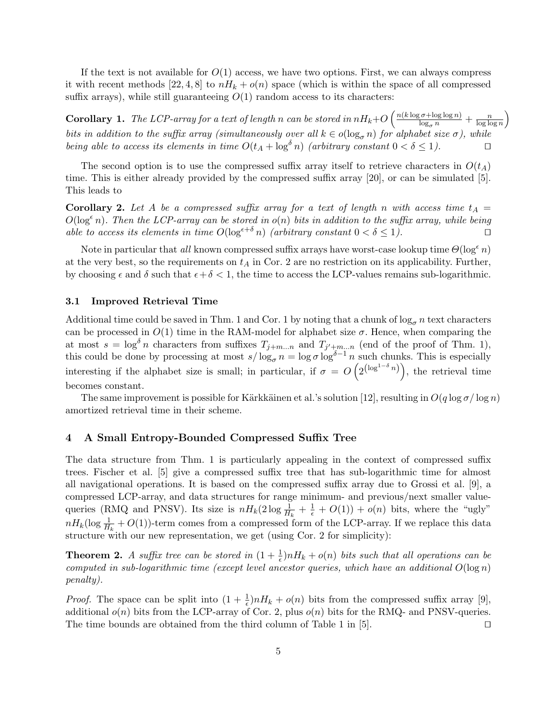If the text is not available for  $O(1)$  access, we have two options. First, we can always compress it with recent methods [22, 4, 8] to  $nH_k + o(n)$  space (which is within the space of all compressed suffix arrays), while still guaranteeing  $O(1)$  random access to its characters:

**Corollary 1.** The LCP-array for a text of length n can be stored in  $nH_k+O\left(\frac{n(k\log\sigma+\log\log n)}{\log_\sigma n}+\frac{n}{\log\log n}\right)$  $\frac{n}{\log \log n}$ bits in addition to the suffix array (simultaneously over all  $k \in o(\log_{\sigma} n)$  for alphabet size  $\sigma$ ), while being able to access its elements in time  $O(t_A + \log^\delta n)$  (arbitrary constant  $0 < \delta \leq 1$ ).

The second option is to use the compressed suffix array itself to retrieve characters in  $O(t_A)$ time. This is either already provided by the compressed suffix array [20], or can be simulated [5]. This leads to

**Corollary 2.** Let A be a compressed suffix array for a text of length n with access time  $t_A =$  $O(\log^{\epsilon} n)$ . Then the LCP-array can be stored in  $o(n)$  bits in addition to the suffix array, while being able to access its elements in time  $O(\log^{\epsilon+\delta} n)$  (arbitrary constant  $0 < \delta \leq 1$ ).

Note in particular that all known compressed suffix arrays have worst-case lookup time  $\Theta(\log^{\epsilon} n)$ at the very best, so the requirements on  $t_A$  in Cor. 2 are no restriction on its applicability. Further, by choosing  $\epsilon$  and  $\delta$  such that  $\epsilon + \delta < 1$ , the time to access the LCP-values remains sub-logarithmic.

#### 3.1 Improved Retrieval Time

Additional time could be saved in Thm. 1 and Cor. 1 by noting that a chunk of  $\log_{\sigma} n$  text characters can be processed in  $O(1)$  time in the RAM-model for alphabet size  $\sigma$ . Hence, when comparing the at most  $s = \log^{\delta} n$  characters from suffixes  $T_{j+m...n}$  and  $T_{j'+m...n}$  (end of the proof of Thm. 1), this could be done by processing at most  $s/\log_{\sigma} n = \log \sigma \log^{\delta-1} n$  such chunks. This is especially interesting if the alphabet size is small; in particular, if  $\sigma = O\left(2^{(\log^{1-\delta} n)}\right)$ , the retrieval time becomes constant.

The same improvement is possible for Kärkkäinen et al.'s solution [12], resulting in  $O(q \log \sigma / \log n)$ amortized retrieval time in their scheme.

# 4 A Small Entropy-Bounded Compressed Suffix Tree

The data structure from Thm. 1 is particularly appealing in the context of compressed suffix trees. Fischer et al. [5] give a compressed suffix tree that has sub-logarithmic time for almost all navigational operations. It is based on the compressed suffix array due to Grossi et al. [9], a compressed LCP-array, and data structures for range minimum- and previous/next smaller valuequeries (RMQ and PNSV). Its size is  $nH_k(2\log \frac{1}{H_k} + \frac{1}{\epsilon} + O(1)) + o(n)$  bits, where the "ugly"  $nH_k(\log \frac{1}{H_k} + O(1))$ -term comes from a compressed form of the LCP-array. If we replace this data structure with our new representation, we get (using Cor. 2 for simplicity):

**Theorem 2.** A suffix tree can be stored in  $(1 + \frac{1}{\epsilon})nH_k + o(n)$  bits such that all operations can be computed in sub-logarithmic time (except level ancestor queries, which have an additional  $O(\log n)$ ) penalty).

*Proof.* The space can be split into  $(1 + \frac{1}{\epsilon})nH_k + o(n)$  bits from the compressed suffix array [9], additional  $o(n)$  bits from the LCP-array of Cor. 2, plus  $o(n)$  bits for the RMQ- and PNSV-queries. The time bounds are obtained from the third column of Table 1 in  $[5]$ .